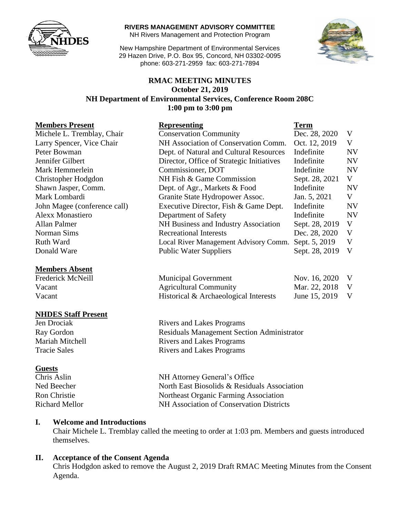

**RIVERS MANAGEMENT ADVISORY COMMITTEE**

NH Rivers Management and Protection Program

New Hampshire Department of Environmental Services 29 Hazen Drive, P.O. Box 95, Concord, NH 03302-0095 phone: 603-271-2959 fax: 603-271-7894



### **RMAC MEETING MINUTES October 21, 2019 NH Department of Environmental Services, Conference Room 208C 1:00 pm to 3:00 pm**

#### **Members Present**

### **Members Absent**

### **NHDES Staff Present**

### **Guests**

| <b>Members Present</b>       | <b>Representing</b>                       | Term           |              |
|------------------------------|-------------------------------------------|----------------|--------------|
| Michele L. Tremblay, Chair   | <b>Conservation Community</b>             | Dec. 28, 2020  | V            |
| Larry Spencer, Vice Chair    | NH Association of Conservation Comm.      | Oct. 12, 2019  | V            |
| Peter Bowman                 | Dept. of Natural and Cultural Resources   | Indefinite     | <b>NV</b>    |
| Jennifer Gilbert             | Director, Office of Strategic Initiatives | Indefinite     | <b>NV</b>    |
| Mark Hemmerlein              | Commissioner, DOT                         | Indefinite     | <b>NV</b>    |
| Christopher Hodgdon          | NH Fish & Game Commission                 | Sept. 28, 2021 | V            |
| Shawn Jasper, Comm.          | Dept. of Agr., Markets & Food             | Indefinite     | <b>NV</b>    |
| Mark Lombardi                | Granite State Hydropower Assoc.           | Jan. 5, 2021   | V            |
| John Magee (conference call) | Executive Director, Fish & Game Dept.     | Indefinite     | <b>NV</b>    |
| <b>Alexx Monastiero</b>      | Department of Safety                      | Indefinite     | <b>NV</b>    |
| Allan Palmer                 | NH Business and Industry Association      | Sept. 28, 2019 | V            |
| Norman Sims                  | <b>Recreational Interests</b>             | Dec. 28, 2020  | V            |
| Ruth Ward                    | Local River Management Advisory Comm.     | Sept. 5, 2019  | V            |
| Donald Ware                  | <b>Public Water Suppliers</b>             | Sept. 28, 2019 | $\mathbf{V}$ |
|                              |                                           |                |              |

| Frederick McNeill | <b>Municipal Government</b>           | Nov. 16, 2020 V |  |
|-------------------|---------------------------------------|-----------------|--|
| Vacant            | <b>Agricultural Community</b>         | Mar. 22, 2018 V |  |
| Vacant            | Historical & Archaeological Interests | June 15, 2019 V |  |

Jen Drociak Rivers and Lakes Programs Ray Gordon Residuals Management Section Administrator Mariah Mitchell **Rivers** and Lakes Programs Tracie Sales Rivers and Lakes Programs

Chris Aslin NH Attorney General's Office Ned Beecher North East Biosolids & Residuals Association Ron Christie Northeast Organic Farming Association Richard Mellor NH Association of Conservation Districts

### **I. Welcome and Introductions**

Chair Michele L. Tremblay called the meeting to order at 1:03 pm. Members and guests introduced themselves.

### **II. Acceptance of the Consent Agenda**

Chris Hodgdon asked to remove the August 2, 2019 Draft RMAC Meeting Minutes from the Consent Agenda.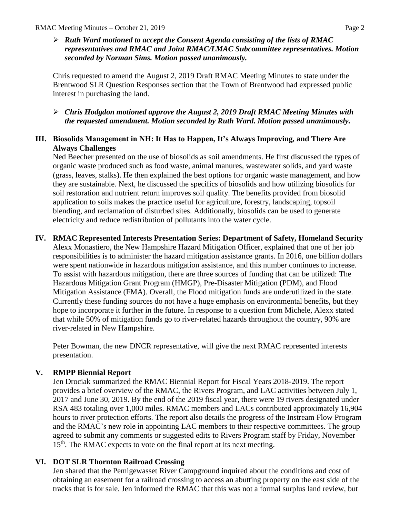*Ruth Ward motioned to accept the Consent Agenda consisting of the lists of RMAC representatives and RMAC and Joint RMAC/LMAC Subcommittee representatives. Motion seconded by Norman Sims. Motion passed unanimously.* 

Chris requested to amend the August 2, 2019 Draft RMAC Meeting Minutes to state under the Brentwood SLR Question Responses section that the Town of Brentwood had expressed public interest in purchasing the land.

 *Chris Hodgdon motioned approve the August 2, 2019 Draft RMAC Meeting Minutes with the requested amendment. Motion seconded by Ruth Ward. Motion passed unanimously.*

### **III. Biosolids Management in NH: It Has to Happen, It's Always Improving, and There Are Always Challenges**

Ned Beecher presented on the use of biosolids as soil amendments. He first discussed the types of organic waste produced such as food waste, animal manures, wastewater solids, and yard waste (grass, leaves, stalks). He then explained the best options for organic waste management, and how they are sustainable. Next, he discussed the specifics of biosolids and how utilizing biosolids for soil restoration and nutrient return improves soil quality. The benefits provided from biosolid application to soils makes the practice useful for agriculture, forestry, landscaping, topsoil blending, and reclamation of disturbed sites. Additionally, biosolids can be used to generate electricity and reduce redistribution of pollutants into the water cycle.

**IV. RMAC Represented Interests Presentation Series: Department of Safety, Homeland Security** Alexx Monastiero, the New Hampshire Hazard Mitigation Officer, explained that one of her job responsibilities is to administer the hazard mitigation assistance grants. In 2016, one billion dollars were spent nationwide in hazardous mitigation assistance, and this number continues to increase. To assist with hazardous mitigation, there are three sources of funding that can be utilized: The Hazardous Mitigation Grant Program (HMGP), Pre-Disaster Mitigation (PDM), and Flood Mitigation Assistance (FMA). Overall, the Flood mitigation funds are underutilized in the state. Currently these funding sources do not have a huge emphasis on environmental benefits, but they hope to incorporate it further in the future. In response to a question from Michele, Alexx stated that while 50% of mitigation funds go to river-related hazards throughout the country, 90% are river-related in New Hampshire.

Peter Bowman, the new DNCR representative, will give the next RMAC represented interests presentation.

## **V. RMPP Biennial Report**

Jen Drociak summarized the RMAC Biennial Report for Fiscal Years 2018-2019. The report provides a brief overview of the RMAC, the Rivers Program, and LAC activities between July 1, 2017 and June 30, 2019. By the end of the 2019 fiscal year, there were 19 rivers designated under RSA 483 totaling over 1,000 miles. RMAC members and LACs contributed approximately 16,904 hours to river protection efforts. The report also details the progress of the Instream Flow Program and the RMAC's new role in appointing LAC members to their respective committees. The group agreed to submit any comments or suggested edits to Rivers Program staff by Friday, November 15<sup>th</sup>. The RMAC expects to vote on the final report at its next meeting.

### **VI. DOT SLR Thornton Railroad Crossing**

Jen shared that the Pemigewasset River Campground inquired about the conditions and cost of obtaining an easement for a railroad crossing to access an abutting property on the east side of the tracks that is for sale. Jen informed the RMAC that this was not a formal surplus land review, but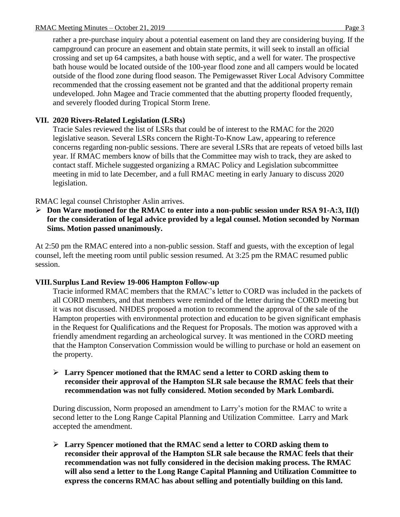rather a pre-purchase inquiry about a potential easement on land they are considering buying. If the campground can procure an easement and obtain state permits, it will seek to install an official crossing and set up 64 campsites, a bath house with septic, and a well for water. The prospective bath house would be located outside of the 100-year flood zone and all campers would be located outside of the flood zone during flood season. The Pemigewasset River Local Advisory Committee recommended that the crossing easement not be granted and that the additional property remain undeveloped. John Magee and Tracie commented that the abutting property flooded frequently, and severely flooded during Tropical Storm Irene.

## **VII. 2020 Rivers-Related Legislation (LSRs)**

Tracie Sales reviewed the list of LSRs that could be of interest to the RMAC for the 2020 legislative season. Several LSRs concern the Right-To-Know Law, appearing to reference concerns regarding non-public sessions. There are several LSRs that are repeats of vetoed bills last year. If RMAC members know of bills that the Committee may wish to track, they are asked to contact staff. Michele suggested organizing a RMAC Policy and Legislation subcommittee meeting in mid to late December, and a full RMAC meeting in early January to discuss 2020 legislation.

RMAC legal counsel Christopher Aslin arrives.

 **Don Ware motioned for the RMAC to enter into a non-public session under RSA 91-A:3, II(l) for the consideration of legal advice provided by a legal counsel. Motion seconded by Norman Sims. Motion passed unanimously.** 

At 2:50 pm the RMAC entered into a non-public session. Staff and guests, with the exception of legal counsel, left the meeting room until public session resumed. At 3:25 pm the RMAC resumed public session.

### **VIII.Surplus Land Review 19-006 Hampton Follow-up**

Tracie informed RMAC members that the RMAC's letter to CORD was included in the packets of all CORD members, and that members were reminded of the letter during the CORD meeting but it was not discussed. NHDES proposed a motion to recommend the approval of the sale of the Hampton properties with environmental protection and education to be given significant emphasis in the Request for Qualifications and the Request for Proposals. The motion was approved with a friendly amendment regarding an archeological survey. It was mentioned in the CORD meeting that the Hampton Conservation Commission would be willing to purchase or hold an easement on the property.

 **Larry Spencer motioned that the RMAC send a letter to CORD asking them to reconsider their approval of the Hampton SLR sale because the RMAC feels that their recommendation was not fully considered. Motion seconded by Mark Lombardi.** 

During discussion, Norm proposed an amendment to Larry's motion for the RMAC to write a second letter to the Long Range Capital Planning and Utilization Committee. Larry and Mark accepted the amendment.

 **Larry Spencer motioned that the RMAC send a letter to CORD asking them to reconsider their approval of the Hampton SLR sale because the RMAC feels that their recommendation was not fully considered in the decision making process. The RMAC will also send a letter to the Long Range Capital Planning and Utilization Committee to express the concerns RMAC has about selling and potentially building on this land.**